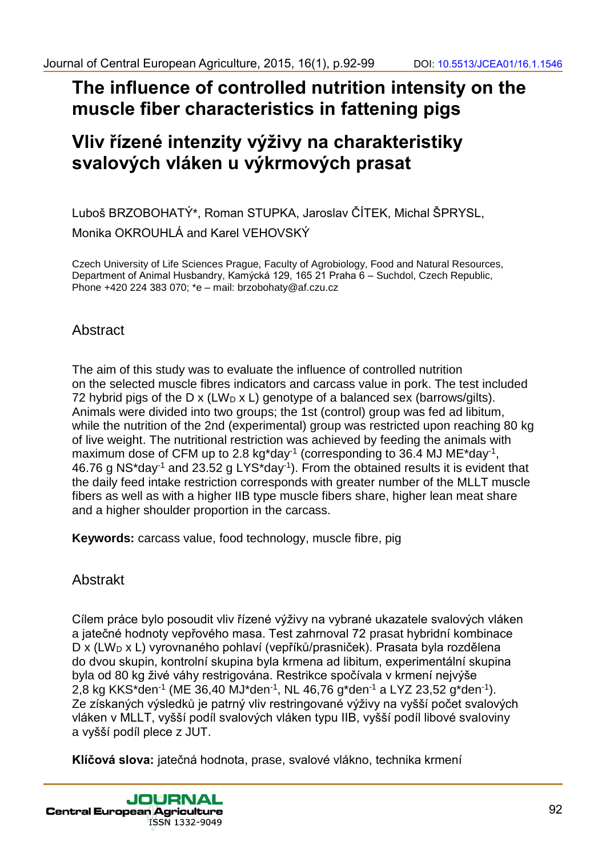# **The influence of controlled nutrition intensity on the muscle fiber characteristics in fattening pigs**

# **Vliv řízené intenzity výživy na charakteristiky svalových vláken u výkrmových prasat**

Luboš BRZOBOHATÝ\*, Roman STUPKA, Jaroslav ČÍTEK, Michal ŠPRYSL, Monika OKROUHLÁ and Karel VEHOVSKÝ

Czech University of Life Sciences Prague, Faculty of Agrobiology, Food and Natural Resources, Department of Animal Husbandry, Kamýcká 129, 165 21 Praha 6 – Suchdol, Czech Republic, Phone +420 224 383 070; \*e – mail: brzobohaty@af.czu.cz

## Abstract

The aim of this study was to evaluate the influence of controlled nutrition on the selected muscle fibres indicators and carcass value in pork. The test included 72 hybrid pigs of the D x (LW<sub>D</sub> x L) genotype of a balanced sex (barrows/gilts). Animals were divided into two groups; the 1st (control) group was fed ad libitum, while the nutrition of the 2nd (experimental) group was restricted upon reaching 80 kg of live weight. The nutritional restriction was achieved by feeding the animals with maximum dose of CFM up to 2.8 kg\*day<sup>-1</sup> (corresponding to 36.4 MJ ME\*day<sup>-1</sup>, 46.76 g NS\*day<sup>-1</sup> and 23.52 g LYS\*day<sup>-1</sup>). From the obtained results it is evident that the daily feed intake restriction corresponds with greater number of the MLLT muscle fibers as well as with a higher IIB type muscle fibers share, higher lean meat share and a higher shoulder proportion in the carcass. Journal of Central European Agriculture, 2015, 16(1), p.92-99<br>
29 The influence of Central Celtral nutrition intensity on the<br>
muscle fiber characteristics in fattening pigs<br>
Viiv řízené intenzity výživy na charakteristiky Journal of Central European Agriculture, 2015, 16(1), p.92-99<br>
The infilterince of control Celtral Internal of the central Central Central Central Central Central Central Central Central Central Central Central Central Cen

**Keywords:** carcass value, food technology, muscle fibre, pig

## Abstrakt

Cílem práce bylo posoudit vliv řízené výživy na vybrané ukazatele svalových vláken a jatečné hodnoty vepřového masa. Test zahrnoval 72 prasat hybridní kombinace D x (LW<sub>D</sub> x L) vyrovnaného pohlaví (vepříků/prasniček). Prasata byla rozdělena do dvou skupin, kontrolní skupina byla krmena ad libitum, experimentální skupina byla od 80 kg živé váhy restrigována. Restrikce spočívala v krmení nejvýše 2,8 kg KKS\*den<sup>-1</sup> (ME 36,40 MJ\*den<sup>-1</sup>, NL 46,76 g\*den<sup>-1</sup> a LYZ 23,52 g\*den<sup>-1</sup>). Ze získaných výsledků je patrný vliv restringované výživy na vyšší počet svalových vláken v MLLT, vyšší podíl svalových vláken typu IIB, vyšší podíl libové svaloviny a vyšší podíl plece z JUT.

**Klíčová slova:** jatečná hodnota, prase, svalové vlákno, technika krmení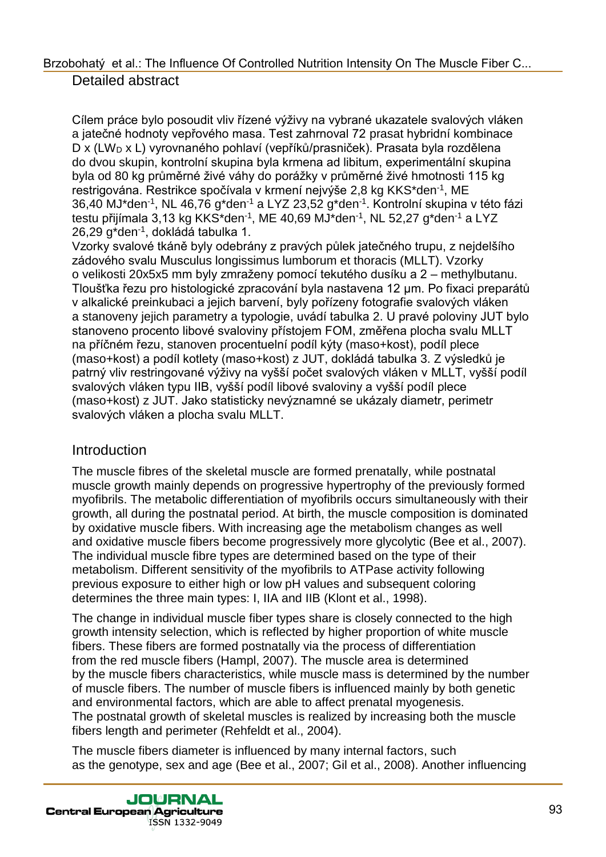Cílem práce bylo posoudit vliv řízené výživy na vybrané ukazatele svalových vláken a jatečné hodnoty vepřového masa. Test zahrnoval 72 prasat hybridní kombinace D x (LW<sub>D</sub> x L) vyrovnaného pohlaví (vepříků/prasniček). Prasata byla rozdělena do dvou skupin, kontrolní skupina byla krmena ad libitum, experimentální skupina byla od 80 kg průměrné živé váhy do porážky v průměrné živé hmotnosti 115 kg restrigována. Restrikce spočívala v krmení nejvýše 2,8 kg KKS\*den<sup>-1</sup>, ME 36,40 MJ\*den-1 , NL 46,76 g\*den-1 a LYZ 23,52 g\*den-1 . Kontrolní skupina v této fázi testu přijímala 3,13 kg KKS\*den-1 , ME 40,69 MJ\*den-1 , NL 52,27 g\*den-1 a LYZ 26,29 g\*den-1 , dokládá tabulka 1.

Vzorky svalové tkáně byly odebrány z pravých půlek jatečného trupu, z nejdelšího zádového svalu Musculus longissimus lumborum et thoracis (MLLT). Vzorky o velikosti 20x5x5 mm byly zmraženy pomocí tekutého dusíku a 2 – methylbutanu. Tloušťka řezu pro histologické zpracování byla nastavena 12 μm. Po fixaci preparátů v alkalické preinkubaci a jejich barvení, byly pořízeny fotografie svalových vláken a stanoveny jejich parametry a typologie, uvádí tabulka 2. U pravé poloviny JUT bylo stanoveno procento libové svaloviny přístojem FOM, změřena plocha svalu MLLT na příčném řezu, stanoven procentuelní podíl kýty (maso+kost), podíl plece (maso+kost) a podíl kotlety (maso+kost) z JUT, dokládá tabulka 3. Z výsledků je patrný vliv restringované výživy na vyšší počet svalových vláken v MLLT, vyšší podíl svalových vláken typu IIB, vyšší podíl libové svaloviny a vyšší podíl plece (maso+kost) z JUT. Jako statisticky nevýznamné se ukázaly diametr, perimetr svalových vláken a plocha svalu MLLT. Brzobine et al. The influence of Controlled Nutrilon intensity On The Muscle Fiber C..<br>
Clien price bylo possuid viv fizene vyžny na vybrané ukazatele svalových vláčen<br>
a jakené hodnoty vejichového mala Test zlamované jak

#### **Introduction**

The muscle fibres of the skeletal muscle are formed prenatally, while postnatal muscle growth mainly depends on progressive hypertrophy of the previously formed myofibrils. The metabolic differentiation of myofibrils occurs simultaneously with their growth, all during the postnatal period. At birth, the muscle composition is dominated by oxidative muscle fibers. With increasing age the metabolism changes as well and oxidative muscle fibers become progressively more glycolytic (Bee et al., 2007). The individual muscle fibre types are determined based on the type of their metabolism. Different sensitivity of the myofibrils to ATPase activity following previous exposure to either high or low pH values and subsequent coloring determines the three main types: I, IIA and IIB (Klont et al., 1998).

The change in individual muscle fiber types share is closely connected to the high growth intensity selection, which is reflected by higher proportion of white muscle fibers. These fibers are formed postnatally via the process of differentiation from the red muscle fibers (Hampl, 2007). The muscle area is determined by the muscle fibers characteristics, while muscle mass is determined by the number of muscle fibers. The number of muscle fibers is influenced mainly by both genetic and environmental factors, which are able to affect prenatal myogenesis. The postnatal growth of skeletal muscles is realized by increasing both the muscle fibers length and perimeter (Rehfeldt et al., 2004).

The muscle fibers diameter is influenced by many internal factors, such as the genotype, sex and age (Bee et al., 2007; Gil et al., 2008). Another influencing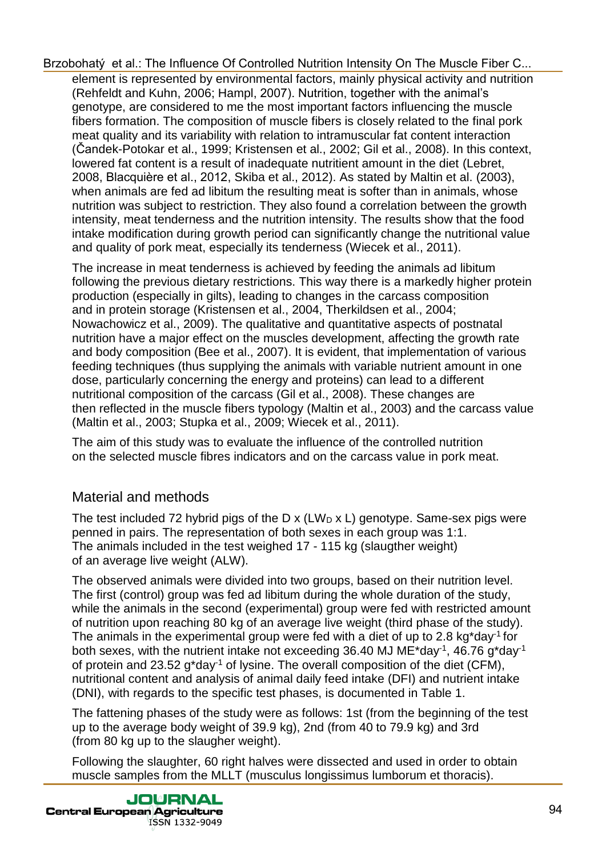element is represented by environmental factors, mainly physical activity and nutrition (Rehfeldt and Kuhn, 2006; Hampl, 2007). Nutrition, together with the animal's genotype, are considered to me the most important factors influencing the muscle fibers formation. The composition of muscle fibers is closely related to the final pork meat quality and its variability with relation to intramuscular fat content interaction (Čandek-Potokar et al., 1999; Kristensen et al., 2002; Gil et al., 2008). In this context, lowered fat content is a result of inadequate nutritient amount in the diet (Lebret, 2008, Blacquière et al., 2012, Skiba et al., 2012). As stated by Maltin et al. (2003), when animals are fed ad libitum the resulting meat is softer than in animals, whose nutrition was subject to restriction. They also found a correlation between the growth intensity, meat tenderness and the nutrition intensity. The results show that the food intake modification during growth period can significantly change the nutritional value and quality of pork meat, especially its tenderness (Wiecek et al., 2011). Brzobina (in a line influence Of Controled Mutitin intensity On The Mustele Fire C.<br>
(conditation distain the mutation of Controled Mutitin 2007), Nurricon (in the Mustele Fire Controled and Nutrin Controled and Nutrin to

The increase in meat tenderness is achieved by feeding the animals ad libitum following the previous dietary restrictions. This way there is a markedly higher protein production (especially in gilts), leading to changes in the carcass composition and in protein storage (Kristensen et al., 2004, Therkildsen et al., 2004; Nowachowicz et al., 2009). The qualitative and quantitative aspects of postnatal nutrition have a major effect on the muscles development, affecting the growth rate and body composition (Bee et al., 2007). It is evident, that implementation of various feeding techniques (thus supplying the animals with variable nutrient amount in one dose, particularly concerning the energy and proteins) can lead to a different nutritional composition of the carcass (Gil et al., 2008). These changes are then reflected in the muscle fibers typology (Maltin et al., 2003) and the carcass value (Maltin et al., 2003; Stupka et al., 2009; Wiecek et al., 2011).

The aim of this study was to evaluate the influence of the controlled nutrition on the selected muscle fibres indicators and on the carcass value in pork meat.

## Material and methods

The test included 72 hybrid pigs of the  $D \times (LW_D \times L)$  genotype. Same-sex pigs were penned in pairs. The representation of both sexes in each group was 1:1. The animals included in the test weighed 17 - 115 kg (slaugther weight) of an average live weight (ALW).

The observed animals were divided into two groups, based on their nutrition level. The first (control) group was fed ad libitum during the whole duration of the study, while the animals in the second (experimental) group were fed with restricted amount of nutrition upon reaching 80 kg of an average live weight (third phase of the study). The animals in the experimental group were fed with a diet of up to 2.8 kg\*day<sup>-1</sup> for both sexes, with the nutrient intake not exceeding 36.40 MJ ME\*day<sup>-1</sup>, 46.76 g\*day<sup>-1</sup> of protein and 23.52  $q^*$ day<sup>-1</sup> of lysine. The overall composition of the diet (CFM), nutritional content and analysis of animal daily feed intake (DFI) and nutrient intake (DNI), with regards to the specific test phases, is documented in Table 1.

The fattening phases of the study were as follows: 1st (from the beginning of the test up to the average body weight of 39.9 kg), 2nd (from 40 to 79.9 kg) and 3rd (from 80 kg up to the slaugher weight).

Following the slaughter, 60 right halves were dissected and used in order to obtain muscle samples from the MLLT (musculus longissimus lumborum et thoracis).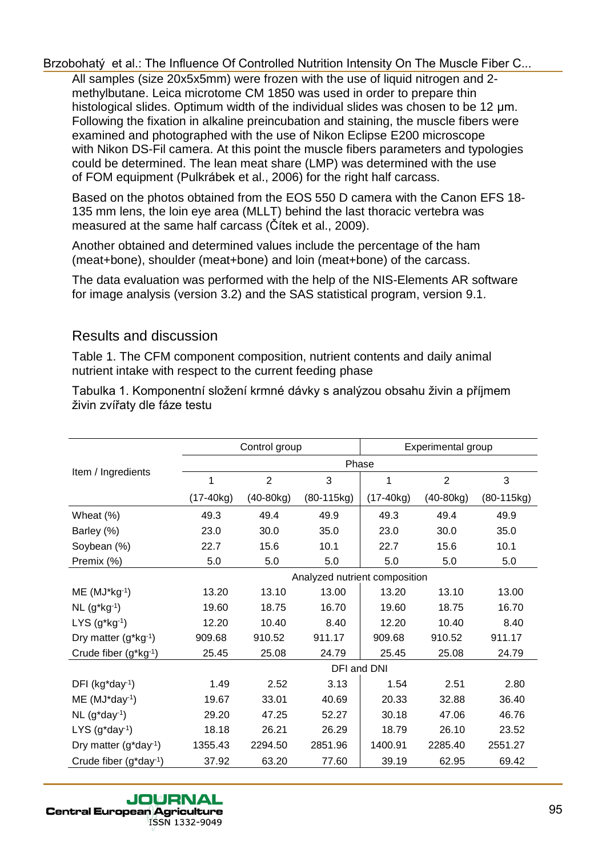### Results and discussion

| methylbutane. Leica microtome CM 1850 was used in order to prepare thin<br>histological slides. Optimum width of the individual slides was chosen to be 12 µm.<br>Following the fixation in alkaline preincubation and staining, the muscle fibers were<br>examined and photographed with the use of Nikon Eclipse E200 microscope<br>with Nikon DS-Fil camera. At this point the muscle fibers parameters and typologies<br>could be determined. The lean meat share (LMP) was determined with the use<br>of FOM equipment (Pulkrábek et al., 2006) for the right half carcass.<br>Based on the photos obtained from the EOS 550 D camera with the Canon EFS 18- |                  | All samples (size 20x5x5mm) were frozen with the use of liquid nitrogen and 2- |                                |                  |                               |                   |  |
|-------------------------------------------------------------------------------------------------------------------------------------------------------------------------------------------------------------------------------------------------------------------------------------------------------------------------------------------------------------------------------------------------------------------------------------------------------------------------------------------------------------------------------------------------------------------------------------------------------------------------------------------------------------------|------------------|--------------------------------------------------------------------------------|--------------------------------|------------------|-------------------------------|-------------------|--|
| 135 mm lens, the loin eye area (MLLT) behind the last thoracic vertebra was<br>measured at the same half carcass (Citek et al., 2009).                                                                                                                                                                                                                                                                                                                                                                                                                                                                                                                            |                  |                                                                                |                                |                  |                               |                   |  |
| Another obtained and determined values include the percentage of the ham<br>(meat+bone), shoulder (meat+bone) and loin (meat+bone) of the carcass.                                                                                                                                                                                                                                                                                                                                                                                                                                                                                                                |                  |                                                                                |                                |                  |                               |                   |  |
| The data evaluation was performed with the help of the NIS-Elements AR software<br>for image analysis (version 3.2) and the SAS statistical program, version 9.1.                                                                                                                                                                                                                                                                                                                                                                                                                                                                                                 |                  |                                                                                |                                |                  |                               |                   |  |
| <b>Results and discussion</b>                                                                                                                                                                                                                                                                                                                                                                                                                                                                                                                                                                                                                                     |                  |                                                                                |                                |                  |                               |                   |  |
| Table 1. The CFM component composition, nutrient contents and daily animal<br>nutrient intake with respect to the current feeding phase                                                                                                                                                                                                                                                                                                                                                                                                                                                                                                                           |                  |                                                                                |                                |                  |                               |                   |  |
| Tabulka 1. Komponentní složení krmné dávky s analýzou obsahu živin a příjmem                                                                                                                                                                                                                                                                                                                                                                                                                                                                                                                                                                                      |                  |                                                                                |                                |                  |                               |                   |  |
| živin zvířaty dle fáze testu                                                                                                                                                                                                                                                                                                                                                                                                                                                                                                                                                                                                                                      |                  |                                                                                |                                |                  |                               |                   |  |
|                                                                                                                                                                                                                                                                                                                                                                                                                                                                                                                                                                                                                                                                   |                  | Control group                                                                  |                                |                  | Experimental group            |                   |  |
| Item / Ingredients                                                                                                                                                                                                                                                                                                                                                                                                                                                                                                                                                                                                                                                |                  |                                                                                |                                | Phase            |                               |                   |  |
|                                                                                                                                                                                                                                                                                                                                                                                                                                                                                                                                                                                                                                                                   | 1<br>$(17-40kg)$ | $\overline{2}$<br>$(40-80kg)$                                                  | $\overline{3}$<br>$(80-115kg)$ | 1<br>$(17-40kg)$ | $\overline{2}$<br>$(40-80kg)$ | 3<br>$(80-115kg)$ |  |
|                                                                                                                                                                                                                                                                                                                                                                                                                                                                                                                                                                                                                                                                   |                  |                                                                                |                                |                  |                               |                   |  |
| Wheat (%)                                                                                                                                                                                                                                                                                                                                                                                                                                                                                                                                                                                                                                                         | 49.3             | 49.4                                                                           | 49.9                           | 49.3             | 49.4                          | 49.9              |  |
| Barley (%)                                                                                                                                                                                                                                                                                                                                                                                                                                                                                                                                                                                                                                                        | 23.0             | 30.0                                                                           | 35.0                           | 23.0             | 30.0                          | 35.0              |  |
| Soybean (%)<br>Premix (%)                                                                                                                                                                                                                                                                                                                                                                                                                                                                                                                                                                                                                                         | 22.7<br>5.0      | 15.6<br>5.0                                                                    | 10.1<br>5.0                    | 22.7<br>5.0      | 15.6<br>5.0                   | 10.1<br>5.0       |  |
|                                                                                                                                                                                                                                                                                                                                                                                                                                                                                                                                                                                                                                                                   |                  |                                                                                | Analyzed nutrient composition  |                  |                               |                   |  |
| $ME (MJ*kg-1)$                                                                                                                                                                                                                                                                                                                                                                                                                                                                                                                                                                                                                                                    | 13.20            | 13.10                                                                          | 13.00                          | 13.20            | 13.10                         | 13.00             |  |
| $NL (g^*kg^{-1})$                                                                                                                                                                                                                                                                                                                                                                                                                                                                                                                                                                                                                                                 | 19.60            | 18.75                                                                          | 16.70                          | 19.60            | 18.75                         | 16.70             |  |
| LYS $(g^*kg^{-1})$                                                                                                                                                                                                                                                                                                                                                                                                                                                                                                                                                                                                                                                | 12.20            | 10.40                                                                          | 8.40                           | 12.20            | 10.40                         | 8.40              |  |
| Dry matter (g*kg-1)                                                                                                                                                                                                                                                                                                                                                                                                                                                                                                                                                                                                                                               | 909.68           | 910.52                                                                         | 911.17                         | 909.68           | 910.52                        | 911.17            |  |
| Crude fiber (g*kg-1)                                                                                                                                                                                                                                                                                                                                                                                                                                                                                                                                                                                                                                              | 25.45            | 25.08                                                                          | 24.79                          | 25.45            | 25.08                         | 24.79             |  |
|                                                                                                                                                                                                                                                                                                                                                                                                                                                                                                                                                                                                                                                                   |                  |                                                                                | DFI and DNI                    |                  |                               |                   |  |
| DFI (kg*day-1)                                                                                                                                                                                                                                                                                                                                                                                                                                                                                                                                                                                                                                                    | 1.49             | 2.52                                                                           | 3.13                           | 1.54             | 2.51                          | 2.80              |  |
| ME (MJ*day <sup>-1</sup> )                                                                                                                                                                                                                                                                                                                                                                                                                                                                                                                                                                                                                                        | 19.67            | 33.01                                                                          | 40.69                          | 20.33            | 32.88                         | 36.40             |  |
| $NL$ (g*day <sup>-1</sup> )                                                                                                                                                                                                                                                                                                                                                                                                                                                                                                                                                                                                                                       | 29.20            | 47.25                                                                          | 52.27                          | 30.18            | 47.06                         | 46.76             |  |
| $LYS$ (g*day <sup>-1</sup> )                                                                                                                                                                                                                                                                                                                                                                                                                                                                                                                                                                                                                                      | 18.18            | 26.21                                                                          | 26.29                          | 18.79            | 26.10                         | 23.52             |  |
| Dry matter (g*day <sup>-1</sup> )                                                                                                                                                                                                                                                                                                                                                                                                                                                                                                                                                                                                                                 | 1355.43          | 2294.50                                                                        | 2851.96                        | 1400.91          | 2285.40                       | 2551.27           |  |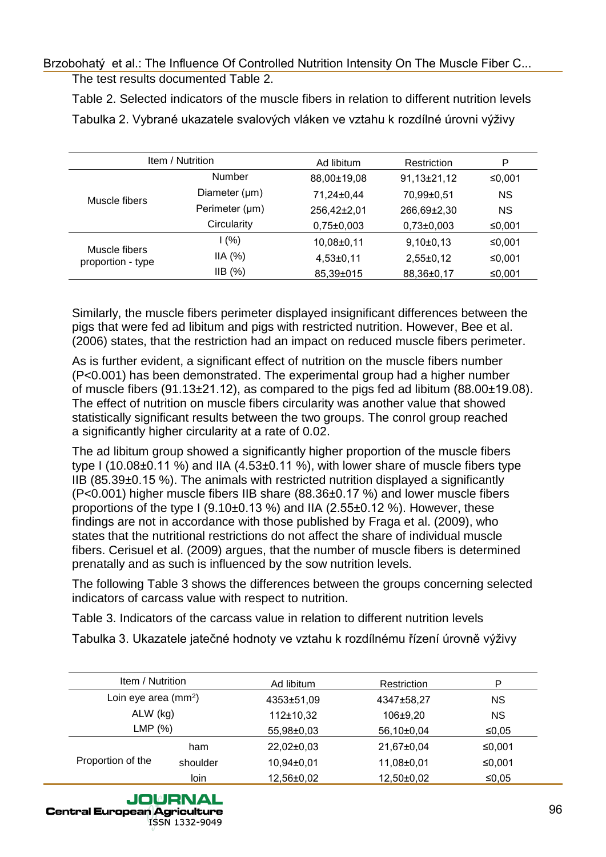|                                                                                                     |                                                                                                 | Table 2. Selected indicators of the muscle fibers in relation to different nutrition levels |                          |                 |
|-----------------------------------------------------------------------------------------------------|-------------------------------------------------------------------------------------------------|---------------------------------------------------------------------------------------------|--------------------------|-----------------|
|                                                                                                     | Tabulka 2. Vybrané ukazatele svalových vláken ve vztahu k rozdílné úrovni výživy                |                                                                                             |                          |                 |
|                                                                                                     |                                                                                                 |                                                                                             |                          |                 |
| Item / Nutrition                                                                                    |                                                                                                 | Ad libitum                                                                                  | Restriction              | ${\sf P}$       |
|                                                                                                     | Number                                                                                          | 88,00±19,08                                                                                 | 91,13±21,12              | ≤0,001          |
| Muscle fibers                                                                                       | Diameter (µm)                                                                                   | 71,24±0,44                                                                                  | 70,99±0,51               | <b>NS</b>       |
|                                                                                                     | Perimeter (µm)                                                                                  | 256,42±2,01                                                                                 | 266,69±2,30              | <b>NS</b>       |
|                                                                                                     | Circularity                                                                                     | $0,75\pm0,003$                                                                              | $0,73\pm0,003$           | ≤0,001          |
| Muscle fibers                                                                                       | 1(%)                                                                                            | 10,08±0,11                                                                                  | $9,10\pm0,13$            | ≤0,001          |
| proportion - type                                                                                   | IIA (%)                                                                                         | $4,53\pm0,11$                                                                               | $2,55\pm0,12$            | ≤0,001          |
|                                                                                                     | IIB(%)                                                                                          | 85,39±015                                                                                   | 88,36±0,17               | ≤0,001          |
|                                                                                                     |                                                                                                 |                                                                                             |                          |                 |
|                                                                                                     | Similarly, the muscle fibers perimeter displayed insignificant differences between the          |                                                                                             |                          |                 |
|                                                                                                     | pigs that were fed ad libitum and pigs with restricted nutrition. However, Bee et al.           |                                                                                             |                          |                 |
|                                                                                                     | (2006) states, that the restriction had an impact on reduced muscle fibers perimeter.           |                                                                                             |                          |                 |
|                                                                                                     | As is further evident, a significant effect of nutrition on the muscle fibers number            |                                                                                             |                          |                 |
|                                                                                                     | (P<0.001) has been demonstrated. The experimental group had a higher number                     |                                                                                             |                          |                 |
|                                                                                                     |                                                                                                 |                                                                                             |                          |                 |
| of muscle fibers $(91.13 \pm 21.12)$ , as compared to the pigs fed ad libitum $(88.00 \pm 19.08)$ . |                                                                                                 |                                                                                             |                          |                 |
|                                                                                                     |                                                                                                 |                                                                                             |                          |                 |
|                                                                                                     |                                                                                                 |                                                                                             |                          |                 |
|                                                                                                     | The effect of nutrition on muscle fibers circularity was another value that showed              |                                                                                             |                          |                 |
|                                                                                                     | statistically significant results between the two groups. The conrol group reached              |                                                                                             |                          |                 |
|                                                                                                     | a significantly higher circularity at a rate of 0.02.                                           |                                                                                             |                          |                 |
|                                                                                                     | The ad libitum group showed a significantly higher proportion of the muscle fibers              |                                                                                             |                          |                 |
|                                                                                                     |                                                                                                 |                                                                                             |                          |                 |
|                                                                                                     | type I (10.08 $\pm$ 0.11 %) and IIA (4.53 $\pm$ 0.11 %), with lower share of muscle fibers type |                                                                                             |                          |                 |
|                                                                                                     | IIB (85.39±0.15 %). The animals with restricted nutrition displayed a significantly             |                                                                                             |                          |                 |
|                                                                                                     | (P<0.001) higher muscle fibers IIB share (88.36±0.17 %) and lower muscle fibers                 |                                                                                             |                          |                 |
|                                                                                                     | proportions of the type I (9.10 $\pm$ 0.13 %) and IIA (2.55 $\pm$ 0.12 %). However, these       |                                                                                             |                          |                 |
|                                                                                                     | findings are not in accordance with those published by Fraga et al. (2009), who                 |                                                                                             |                          |                 |
|                                                                                                     | states that the nutritional restrictions do not affect the share of individual muscle           |                                                                                             |                          |                 |
|                                                                                                     |                                                                                                 |                                                                                             |                          |                 |
|                                                                                                     | fibers. Cerisuel et al. (2009) argues, that the number of muscle fibers is determined           |                                                                                             |                          |                 |
|                                                                                                     | prenatally and as such is influenced by the sow nutrition levels.                               |                                                                                             |                          |                 |
|                                                                                                     | The following Table 3 shows the differences between the groups concerning selected              |                                                                                             |                          |                 |
|                                                                                                     | indicators of carcass value with respect to nutrition.                                          |                                                                                             |                          |                 |
|                                                                                                     | Table 3. Indicators of the carcass value in relation to different nutrition levels              |                                                                                             |                          |                 |
|                                                                                                     |                                                                                                 |                                                                                             |                          |                 |
|                                                                                                     | Tabulka 3. Ukazatele jatečné hodnoty ve vztahu k rozdílnému řízení úrovně výživy                |                                                                                             |                          |                 |
|                                                                                                     |                                                                                                 |                                                                                             |                          |                 |
| Item / Nutrition                                                                                    |                                                                                                 | Ad libitum                                                                                  | Restriction              | P               |
| Loin eye area (mm <sup>2</sup> )                                                                    |                                                                                                 | 4353±51,09                                                                                  | 4347±58,27               | <b>NS</b>       |
| ALW (kg)                                                                                            |                                                                                                 | 112±10,32                                                                                   | 106±9,20                 | <b>NS</b>       |
| LMP(%)                                                                                              |                                                                                                 | 55,98±0,03                                                                                  | 56,10±0,04               | ≤0,05           |
|                                                                                                     | ham                                                                                             | 22,02±0,03                                                                                  | 21,67±0,04               | ≤0,001          |
| Proportion of the                                                                                   | shoulder                                                                                        |                                                                                             |                          |                 |
|                                                                                                     | loin                                                                                            | 10,94±0,01<br>12,56±0,02                                                                    | 11,08±0,01<br>12,50±0,02 | ≤0,001<br>≤0,05 |

| Item / Nutrition                 |          | Ad libitum     | Restriction    | P         |
|----------------------------------|----------|----------------|----------------|-----------|
| Loin eye area (mm <sup>2</sup> ) |          | 4353±51,09     | 4347±58,27     | <b>NS</b> |
| ALW (kg)                         |          | 112±10,32      | 106±9,20       | <b>NS</b> |
| LMP(% )                          |          | 55,98±0,03     | $56,10\pm0,04$ | ≤0,05     |
| Proportion of the                | ham      | 22,02±0,03     | 21,67±0,04     | ≤0,001    |
|                                  | shoulder | 10,94±0,01     | 11,08±0,01     | ≤0,001    |
|                                  | loin     | $12,56\pm0,02$ | 12,50±0,02     | ≤0,05     |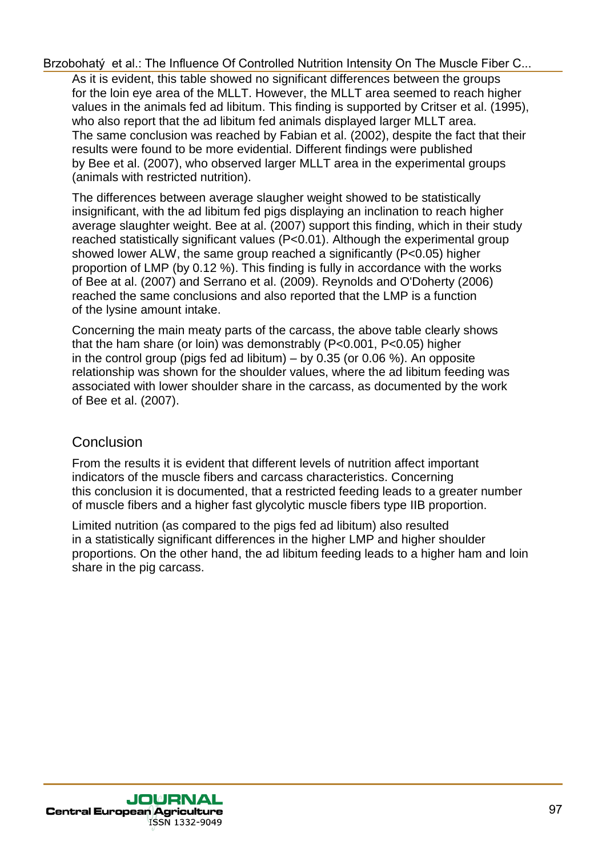As it is evident, this table showed no significant differences between the groups for the loin eye area of the MLLT. However, the MLLT area seemed to reach higher values in the animals fed ad libitum. This finding is supported by Critser et al. (1995), who also report that the ad libitum fed animals displayed larger MLLT area. The same conclusion was reached by Fabian et al. (2002), despite the fact that their results were found to be more evidential. Different findings were published by Bee et al. (2007), who observed larger MLLT area in the experimental groups (animals with restricted nutrition).

The differences between average slaugher weight showed to be statistically insignificant, with the ad libitum fed pigs displaying an inclination to reach higher average slaughter weight. Bee at al. (2007) support this finding, which in their study reached statistically significant values (P<0.01). Although the experimental group showed lower ALW, the same group reached a significantly (P<0.05) higher proportion of LMP (by 0.12 %). This finding is fully in accordance with the works of Bee at al. (2007) and Serrano et al. (2009). Reynolds and O'Doherty (2006) reached the same conclusions and also reported that the LMP is a function of the lysine amount intake. Brzobina et al. The Influence Of Controlled Muttins intensity On The Musicie First C.<br>
for a stressic energy on the Multin Proposition intensity On The Musicie First control weight that the lower<br>
for the low operation of

Concerning the main meaty parts of the carcass, the above table clearly shows that the ham share (or loin) was demonstrably (P<0.001, P<0.05) higher in the control group (pigs fed ad libitum)  $-$  by 0.35 (or 0.06 %). An opposite relationship was shown for the shoulder values, where the ad libitum feeding was associated with lower shoulder share in the carcass, as documented by the work of Bee et al. (2007).

### Conclusion

From the results it is evident that different levels of nutrition affect important indicators of the muscle fibers and carcass characteristics. Concerning this conclusion it is documented, that a restricted feeding leads to a greater number of muscle fibers and a higher fast glycolytic muscle fibers type IIB proportion.

Limited nutrition (as compared to the pigs fed ad libitum) also resulted in a statistically significant differences in the higher LMP and higher shoulder proportions. On the other hand, the ad libitum feeding leads to a higher ham and loin share in the pig carcass.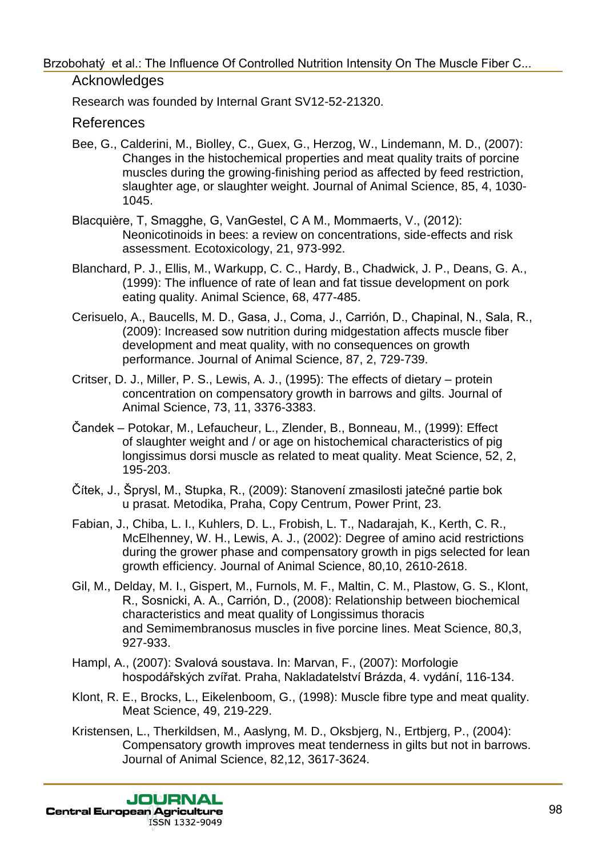Research was founded by Internal Grant SV12-52-21320.

#### References

- Bee, G., Calderini, M., Biolley, C., Guex, G., Herzog, W., Lindemann, M. D., (2007): Changes in the histochemical properties and meat quality traits of porcine muscles during the growing-finishing period as affected by feed restriction, slaughter age, or slaughter weight. Journal of Animal Science, 85, 4, 1030- 1045.
- Blacquière, T, Smagghe, G, VanGestel, C A M., Mommaerts, V., (2012): Neonicotinoids in bees: a review on concentrations, side-effects and risk assessment. Ecotoxicology, 21, 973-992.
- Blanchard, P. J., Ellis, M., Warkupp, C. C., Hardy, B., Chadwick, J. P., Deans, G. A., (1999): The influence of rate of lean and fat tissue development on pork eating quality. Animal Science, 68, 477-485.
- Cerisuelo, A., Baucells, M. D., Gasa, J., Coma, J., Carrión, D., Chapinal, N., Sala, R., (2009): Increased sow nutrition during midgestation affects muscle fiber development and meat quality, with no consequences on growth performance. Journal of Animal Science, 87, 2, 729-739.
- Critser, D. J., Miller, P. S., Lewis, A. J., (1995): The effects of dietary protein concentration on compensatory growth in barrows and gilts. Journal of Animal Science, 73, 11, 3376-3383.
- Čandek Potokar, M., Lefaucheur, L., Zlender, B., Bonneau, M., (1999): Effect of slaughter weight and / or age on histochemical characteristics of pig longissimus dorsi muscle as related to meat quality. Meat Science, 52, 2, 195-203.
- Čítek, J., Šprysl, M., Stupka, R., (2009): Stanovení zmasilosti jatečné partie bok u prasat. Metodika, Praha, Copy Centrum, Power Print, 23.
- Fabian, J., Chiba, L. I., Kuhlers, D. L., Frobish, L. T., Nadarajah, K., Kerth, C. R., McElhenney, W. H., Lewis, A. J., (2002): Degree of amino acid restrictions during the grower phase and compensatory growth in pigs selected for lean growth efficiency. Journal of Animal Science, 80,10, 2610-2618.
- Gil, M., Delday, M. I., Gispert, M., Furnols, M. F., Maltin, C. M., Plastow, G. S., Klont, R., Sosnicki, A. A., Carrión, D., (2008): Relationship between biochemical characteristics and meat quality of Longissimus thoracis and Semimembranosus muscles in five porcine lines. Meat Science, 80,3, 927-933. Brzobna y et al.: The Influence Of Controlled Nutrilon intensity On The Muscle Fiber C..<br>
Record was founded by intensity Or, News, G., Herzog, W., Lindemann, M. D., (2007):<br>
Bee, G., Cadeemi, M., Biolley, C., Guex, G., H
	- Hampl, A., (2007): Svalová soustava. In: Marvan, F., (2007): Morfologie hospodářských zvířat. Praha, Nakladatelství Brázda, 4. vydání, 116-134.
	- Klont, R. E., Brocks, L., Eikelenboom, G., (1998): Muscle fibre type and meat quality. Meat Science, 49, 219-229.
	- Kristensen, L., Therkildsen, M., Aaslyng, M. D., Oksbjerg, N., Ertbjerg, P., (2004): Compensatory growth improves meat tenderness in gilts but not in barrows. Journal of Animal Science, 82,12, 3617-3624.